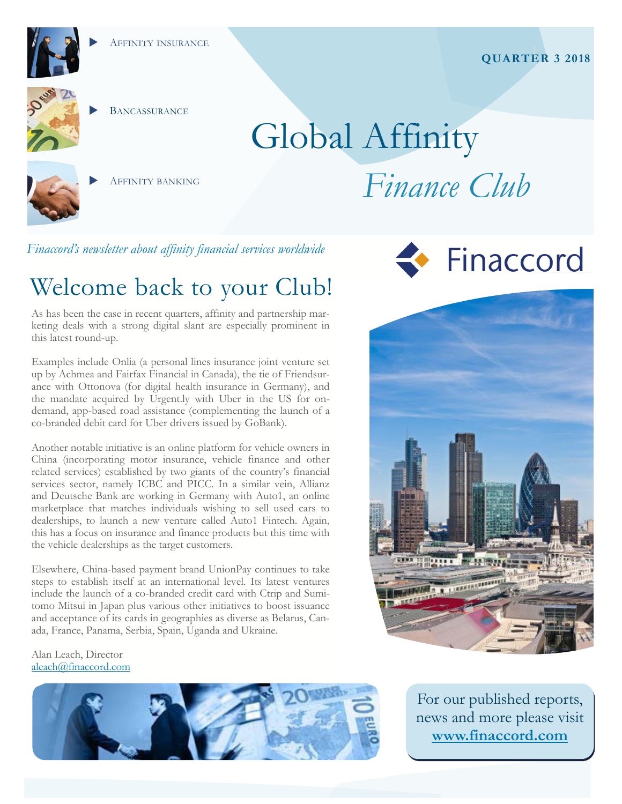

**BANCASSURANCE** 

# Global Affinity



AFFINITY BANKING

## *Finance Club*

*Finaccord's newsletter about affinity financial services worldwide* 

### Welcome back to your Club!

As has been the case in recent quarters, affinity and partnership marketing deals with a strong digital slant are especially prominent in this latest round-up.

Examples include Onlia (a personal lines insurance joint venture set up by Achmea and Fairfax Financial in Canada), the tie of Friendsurance with Ottonova (for digital health insurance in Germany), and the mandate acquired by Urgent.ly with Uber in the US for ondemand, app-based road assistance (complementing the launch of a co-branded debit card for Uber drivers issued by GoBank).

Another notable initiative is an online platform for vehicle owners in China (incorporating motor insurance, vehicle finance and other related services) established by two giants of the country's financial services sector, namely ICBC and PICC. In a similar vein, Allianz and Deutsche Bank are working in Germany with Auto1, an online marketplace that matches individuals wishing to sell used cars to dealerships, to launch a new venture called Auto1 Fintech. Again, this has a focus on insurance and finance products but this time with the vehicle dealerships as the target customers.

Elsewhere, China-based payment brand UnionPay continues to take steps to establish itself at an international level. Its latest ventures include the launch of a co-branded credit card with Ctrip and Sumitomo Mitsui in Japan plus various other initiatives to boost issuance and acceptance of its cards in geographies as diverse as Belarus, Canada, France, Panama, Serbia, Spain, Uganda and Ukraine.

#### Alan Leach, Director [aleach@finaccord.com](mailto:aleach@finaccord.com)







For our published reports, news and more please visit **[www.finaccord.com](http://www.finaccord.com)**

### **QUARTER 3 2018**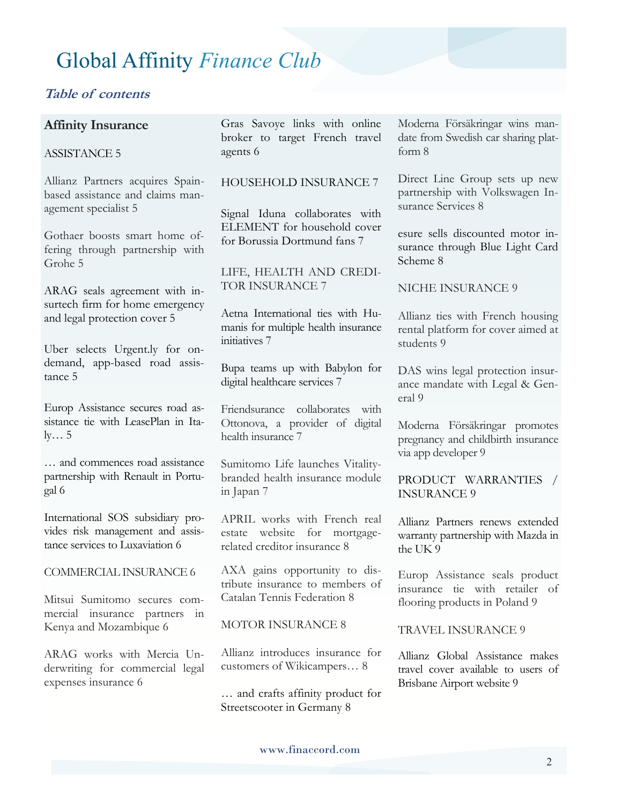#### **Table of contents**

#### **Affinity Insurance**

#### ASSISTANCE 5

Allianz Partners acquires Spainbased assistance and claims management specialist 5

Gothaer boosts smart home offering through partnership with Grohe 5

ARAG seals agreement with insurtech firm for home emergency and legal protection cover 5

Uber selects Urgent.ly for ondemand, app-based road assistance 5

Europ Assistance secures road assistance tie with LeasePlan in Italy… 5

… and commences road assistance partnership with Renault in Portugal 6

International SOS subsidiary provides risk management and assistance services to Luxaviation 6

COMMERCIAL INSURANCE 6

Mitsui Sumitomo secures commercial insurance partners in Kenya and Mozambique 6

ARAG works with Mercia Underwriting for commercial legal expenses insurance 6

Gras Savoye links with online broker to target French travel agents 6

#### HOUSEHOLD INSURANCE 7

Signal Iduna collaborates with ELEMENT for household cover for Borussia Dortmund fans 7

LIFE, HEALTH AND CREDI-TOR INSURANCE 7

Aetna International ties with Humanis for multiple health insurance initiatives 7

Bupa teams up with Babylon for digital healthcare services 7

Friendsurance collaborates with Ottonova, a provider of digital health insurance 7

Sumitomo Life launches Vitalitybranded health insurance module in Japan 7

APRIL works with French real estate website for mortgagerelated creditor insurance 8

AXA gains opportunity to distribute insurance to members of Catalan Tennis Federation 8

#### MOTOR INSURANCE 8

Allianz introduces insurance for customers of Wikicampers… 8

… and crafts affinity product for Streetscooter in Germany 8

Moderna Försäkringar wins mandate from Swedish car sharing platform 8

Direct Line Group sets up new partnership with Volkswagen Insurance Services 8

esure sells discounted motor insurance through Blue Light Card Scheme 8

NICHE INSURANCE 9

Allianz ties with French housing rental platform for cover aimed at students 9

DAS wins legal protection insurance mandate with Legal & General 9

Moderna Försäkringar promotes pregnancy and childbirth insurance via app developer 9

PRODUCT WARRANTIES / INSURANCE 9

Allianz Partners renews extended warranty partnership with Mazda in the UK 9

Europ Assistance seals product insurance tie with retailer of flooring products in Poland 9

TRAVEL INSURANCE 9

Allianz Global Assistance makes travel cover available to users of Brisbane Airport website 9

www.finaccord.com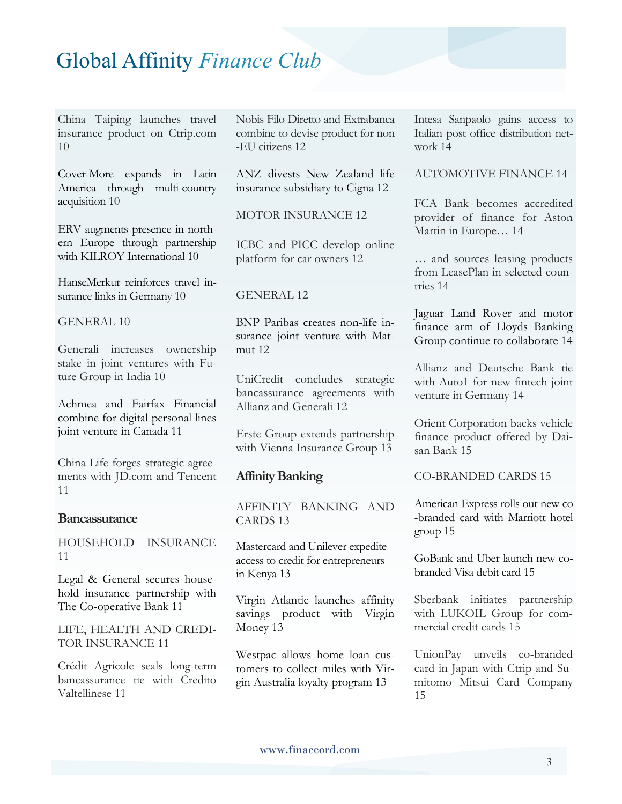China Taiping launches travel insurance product on Ctrip.com 10

Cover-More expands in Latin America through multi-country acquisition 10

ERV augments presence in northern Europe through partnership with KILROY International 10

HanseMerkur reinforces travel insurance links in Germany 10

GENERAL 10

Generali increases ownership stake in joint ventures with Future Group in India 10

Achmea and Fairfax Financial combine for digital personal lines joint venture in Canada 11

China Life forges strategic agreements with JD.com and Tencent 11

#### **Bancassurance**

HOUSEHOLD INSURANCE 11

Legal & General secures household insurance partnership with The Co-operative Bank 11

LIFE, HEALTH AND CREDI-TOR INSURANCE 11

Crédit Agricole seals long-term bancassurance tie with Credito Valtellinese 11

Nobis Filo Diretto and Extrabanca combine to devise product for non -EU citizens 12

ANZ divests New Zealand life insurance subsidiary to Cigna 12

MOTOR INSURANCE 12

ICBC and PICC develop online platform for car owners 12

#### GENERAL 12

BNP Paribas creates non-life insurance joint venture with Matmut 12

UniCredit concludes strategic bancassurance agreements with Allianz and Generali 12

Erste Group extends partnership with Vienna Insurance Group 13

#### **Affinity Banking**

AFFINITY BANKING AND CARDS 13

Mastercard and Unilever expedite access to credit for entrepreneurs in Kenya 13

Virgin Atlantic launches affinity savings product with Virgin Money 13

Westpac allows home loan customers to collect miles with Virgin Australia loyalty program 13

Intesa Sanpaolo gains access to Italian post office distribution network 14

#### AUTOMOTIVE FINANCE 14

FCA Bank becomes accredited provider of finance for Aston Martin in Europe… 14

… and sources leasing products from LeasePlan in selected countries 14

Jaguar Land Rover and motor finance arm of Lloyds Banking Group continue to collaborate 14

Allianz and Deutsche Bank tie with Auto1 for new fintech joint venture in Germany 14

Orient Corporation backs vehicle finance product offered by Daisan Bank 15

CO-BRANDED CARDS 15

American Express rolls out new co -branded card with Marriott hotel group 15

GoBank and Uber launch new cobranded Visa debit card 15

Sberbank initiates partnership with LUKOIL Group for commercial credit cards 15

UnionPay unveils co-branded card in Japan with Ctrip and Sumitomo Mitsui Card Company 15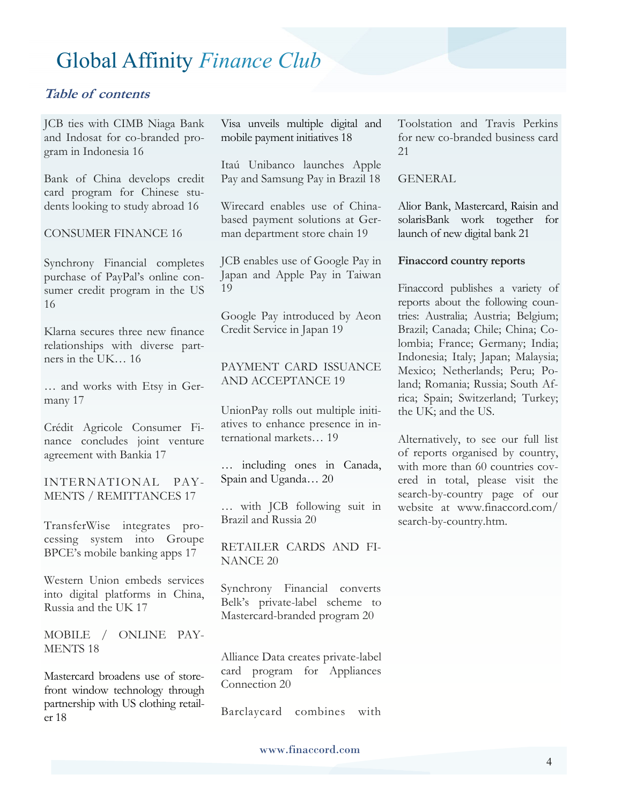#### **Table of contents**

JCB ties with CIMB Niaga Bank and Indosat for co-branded program in Indonesia 16

Bank of China develops credit card program for Chinese students looking to study abroad 16

CONSUMER FINANCE 16

Synchrony Financial completes purchase of PayPal's online consumer credit program in the US 16

Klarna secures three new finance relationships with diverse partners in the UK… 16

… and works with Etsy in Germany 17

Crédit Agricole Consumer Finance concludes joint venture agreement with Bankia 17

INTERNATIONAL PAY-MENTS / REMITTANCES 17

TransferWise integrates processing system into Groupe BPCE's mobile banking apps 17

Western Union embeds services into digital platforms in China, Russia and the UK 17

MOBILE / ONLINE PAY-MENTS 18

Mastercard broadens use of storefront window technology through partnership with US clothing retailer 18

Visa unveils multiple digital and mobile payment initiatives 18

Itaú Unibanco launches Apple Pay and Samsung Pay in Brazil 18

Wirecard enables use of Chinabased payment solutions at German department store chain 19

JCB enables use of Google Pay in Japan and Apple Pay in Taiwan 19

Google Pay introduced by Aeon Credit Service in Japan 19

#### PAYMENT CARD ISSUANCE AND ACCEPTANCE 19

UnionPay rolls out multiple initiatives to enhance presence in international markets… 19

… including ones in Canada, Spain and Uganda… 20

… with JCB following suit in Brazil and Russia 20

RETAILER CARDS AND FI-NANCE 20

Synchrony Financial converts Belk's private-label scheme to Mastercard-branded program 20

Alliance Data creates private-label card program for Appliances Connection 20

Barclaycard combines with

Toolstation and Travis Perkins for new co-branded business card 21

#### GENERAL

Alior Bank, Mastercard, Raisin and solarisBank work together for launch of new digital bank 21

#### **Finaccord country reports**

Finaccord publishes a variety of reports about the following countries: Australia; Austria; Belgium; Brazil; Canada; Chile; China; Colombia; France; Germany; India; Indonesia; Italy; Japan; Malaysia; Mexico; Netherlands; Peru; Poland; Romania; Russia; South Africa; Spain; Switzerland; Turkey; the UK; and the US.

Alternatively, to see our full list of reports organised by country, with more than 60 countries covered in total, please visit the search-by-country page of our website at www.finaccord.com/ search-by-country.htm.

www.finaccord.com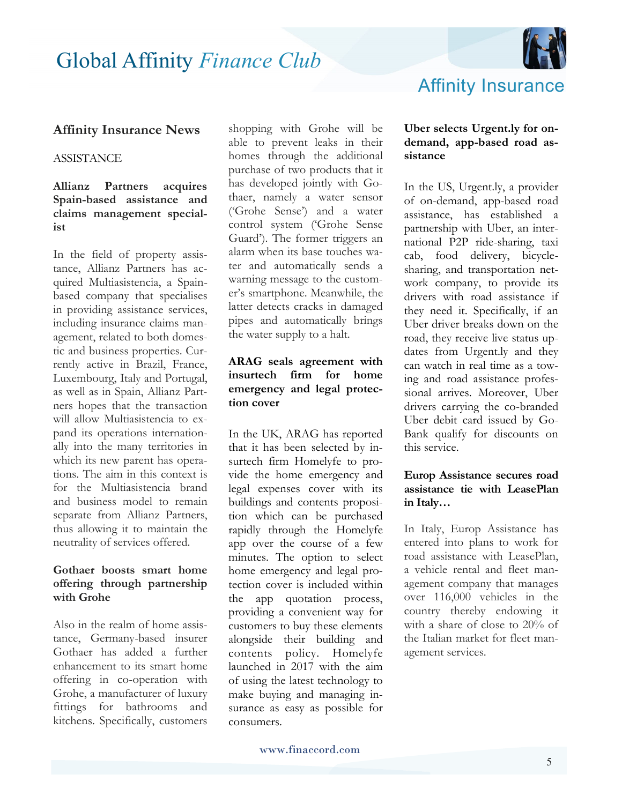

#### **Affinity Insurance News**

#### **ASSISTANCE**

#### **Allianz Partners acquires Spain-based assistance and claims management specialist**

In the field of property assistance, Allianz Partners has acquired Multiasistencia, a Spainbased company that specialises in providing assistance services, including insurance claims management, related to both domestic and business properties. Currently active in Brazil, France, Luxembourg, Italy and Portugal, as well as in Spain, Allianz Partners hopes that the transaction will allow Multiasistencia to expand its operations internationally into the many territories in which its new parent has operations. The aim in this context is for the Multiasistencia brand and business model to remain separate from Allianz Partners, thus allowing it to maintain the neutrality of services offered.

#### **Gothaer boosts smart home offering through partnership with Grohe**

Also in the realm of home assistance, Germany-based insurer Gothaer has added a further enhancement to its smart home offering in co-operation with Grohe, a manufacturer of luxury fittings for bathrooms and kitchens. Specifically, customers

shopping with Grohe will be able to prevent leaks in their homes through the additional purchase of two products that it has developed jointly with Gothaer, namely a water sensor ('Grohe Sense') and a water control system ('Grohe Sense Guard'). The former triggers an alarm when its base touches water and automatically sends a warning message to the customer's smartphone. Meanwhile, the latter detects cracks in damaged pipes and automatically brings the water supply to a halt.

#### **ARAG seals agreement with insurtech firm for home emergency and legal protection cover**

In the UK, ARAG has reported that it has been selected by insurtech firm Homelyfe to provide the home emergency and legal expenses cover with its buildings and contents proposition which can be purchased rapidly through the Homelyfe app over the course of a few minutes. The option to select home emergency and legal protection cover is included within the app quotation process, providing a convenient way for customers to buy these elements alongside their building and contents policy. Homelyfe launched in 2017 with the aim of using the latest technology to make buying and managing insurance as easy as possible for consumers.

#### **Uber selects Urgent.ly for ondemand, app-based road assistance**

In the US, Urgent.ly, a provider of on-demand, app-based road assistance, has established a partnership with Uber, an international P2P ride-sharing, taxi cab, food delivery, bicyclesharing, and transportation network company, to provide its drivers with road assistance if they need it. Specifically, if an Uber driver breaks down on the road, they receive live status updates from Urgent.ly and they can watch in real time as a towing and road assistance professional arrives. Moreover, Uber drivers carrying the co-branded Uber debit card issued by Go-Bank qualify for discounts on this service.

#### **Europ Assistance secures road assistance tie with LeasePlan in Italy…**

In Italy, Europ Assistance has entered into plans to work for road assistance with LeasePlan, a vehicle rental and fleet management company that manages over 116,000 vehicles in the country thereby endowing it with a share of close to 20% of the Italian market for fleet management services.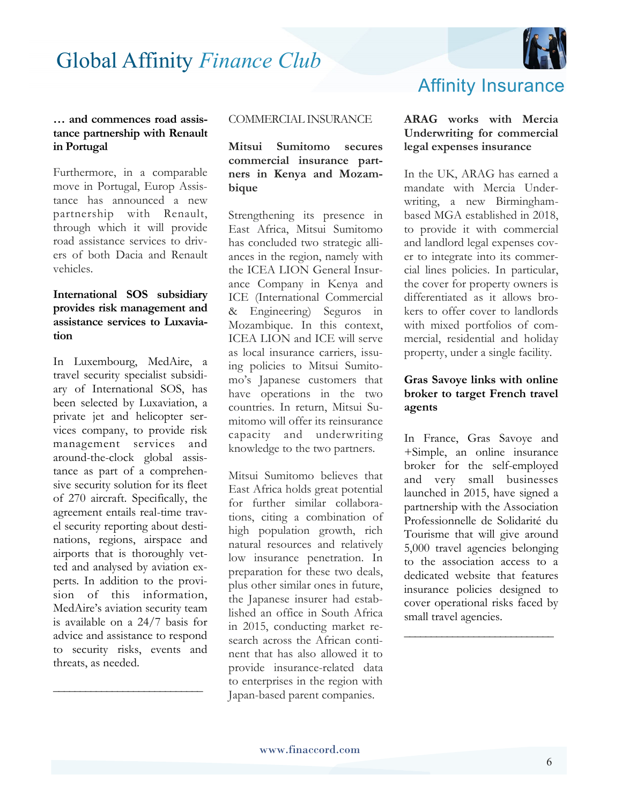

#### **… and commences road assistance partnership with Renault in Portugal**

Furthermore, in a comparable move in Portugal, Europ Assistance has announced a new partnership with Renault, through which it will provide road assistance services to drivers of both Dacia and Renault vehicles.

#### **International SOS subsidiary provides risk management and assistance services to Luxaviation**

In Luxembourg, MedAire, a travel security specialist subsidiary of International SOS, has been selected by Luxaviation, a private jet and helicopter services company, to provide risk management services and around-the-clock global assistance as part of a comprehensive security solution for its fleet of 270 aircraft. Specifically, the agreement entails real-time travel security reporting about destinations, regions, airspace and airports that is thoroughly vetted and analysed by aviation experts. In addition to the provision of this information, MedAire's aviation security team is available on a 24/7 basis for advice and assistance to respond to security risks, events and threats, as needed.

**\_\_\_\_\_\_\_\_\_\_\_\_\_\_\_\_\_\_\_\_\_\_\_\_\_\_\_\_**

#### COMMERCIAL INSURANCE

#### **Mitsui Sumitomo secures commercial insurance partners in Kenya and Mozambique**

Strengthening its presence in East Africa, Mitsui Sumitomo has concluded two strategic alliances in the region, namely with the ICEA LION General Insurance Company in Kenya and ICE (International Commercial & Engineering) Seguros in Mozambique. In this context, ICEA LION and ICE will serve as local insurance carriers, issuing policies to Mitsui Sumitomo's Japanese customers that have operations in the two countries. In return, Mitsui Sumitomo will offer its reinsurance capacity and underwriting knowledge to the two partners.

Mitsui Sumitomo believes that East Africa holds great potential for further similar collaborations, citing a combination of high population growth, rich natural resources and relatively low insurance penetration. In preparation for these two deals, plus other similar ones in future, the Japanese insurer had established an office in South Africa in 2015, conducting market research across the African continent that has also allowed it to provide insurance-related data to enterprises in the region with Japan-based parent companies.

### Affinity Insurance

#### **ARAG works with Mercia Underwriting for commercial legal expenses insurance**

In the UK, ARAG has earned a mandate with Mercia Underwriting, a new Birminghambased MGA established in 2018, to provide it with commercial and landlord legal expenses cover to integrate into its commercial lines policies. In particular, the cover for property owners is differentiated as it allows brokers to offer cover to landlords with mixed portfolios of commercial, residential and holiday property, under a single facility.

#### **Gras Savoye links with online broker to target French travel agents**

In France, Gras Savoye and +Simple, an online insurance broker for the self-employed and very small businesses launched in 2015, have signed a partnership with the Association Professionnelle de Solidarité du Tourisme that will give around 5,000 travel agencies belonging to the association access to a dedicated website that features insurance policies designed to cover operational risks faced by small travel agencies.

**\_\_\_\_\_\_\_\_\_\_\_\_\_\_\_\_\_\_\_\_\_\_\_\_\_\_\_\_**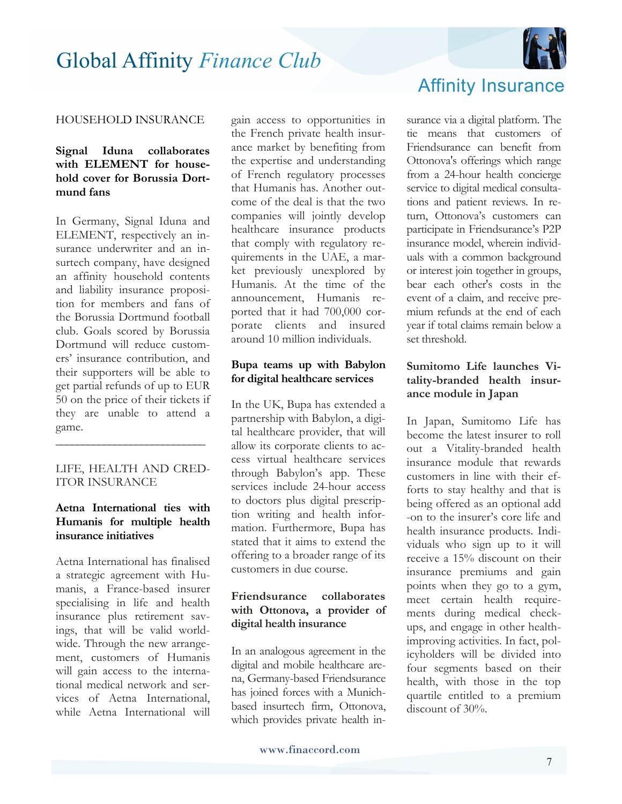

#### HOUSEHOLD INSURANCE

#### **Signal Iduna collaborates with ELEMENT for household cover for Borussia Dortmund fans**

In Germany, Signal Iduna and ELEMENT, respectively an insurance underwriter and an insurtech company, have designed an affinity household contents and liability insurance proposition for members and fans of the Borussia Dortmund football club. Goals scored by Borussia Dortmund will reduce customers' insurance contribution, and their supporters will be able to get partial refunds of up to EUR 50 on the price of their tickets if they are unable to attend a game.

#### LIFE, HEALTH AND CRED-ITOR INSURANCE

**\_\_\_\_\_\_\_\_\_\_\_\_\_\_\_\_\_\_\_\_\_\_\_\_\_\_\_\_**

#### **Aetna International ties with Humanis for multiple health insurance initiatives**

Aetna International has finalised a strategic agreement with Humanis, a France-based insurer specialising in life and health insurance plus retirement savings, that will be valid worldwide. Through the new arrangement, customers of Humanis will gain access to the international medical network and services of Aetna International, while Aetna International will

gain access to opportunities in the French private health insurance market by benefiting from the expertise and understanding of French regulatory processes that Humanis has. Another outcome of the deal is that the two companies will jointly develop healthcare insurance products that comply with regulatory requirements in the UAE, a market previously unexplored by Humanis. At the time of the announcement, Humanis reported that it had 700,000 corporate clients and insured around 10 million individuals.

#### **Bupa teams up with Babylon for digital healthcare services**

In the UK, Bupa has extended a partnership with Babylon, a digital healthcare provider, that will allow its corporate clients to access virtual healthcare services through Babylon's app. These services include 24-hour access to doctors plus digital prescription writing and health information. Furthermore, Bupa has stated that it aims to extend the offering to a broader range of its customers in due course.

#### **Friendsurance collaborates with Ottonova, a provider of digital health insurance**

In an analogous agreement in the digital and mobile healthcare arena, Germany-based Friendsurance has joined forces with a Munichbased insurtech firm, Ottonova, which provides private health in-



surance via a digital platform. The tie means that customers of Friendsurance can benefit from Ottonova's offerings which range from a 24-hour health concierge service to digital medical consultations and patient reviews. In return, Ottonova's customers can participate in Friendsurance's P2P insurance model, wherein individuals with a common background or interest join together in groups, bear each other's costs in the event of a claim, and receive premium refunds at the end of each year if total claims remain below a set threshold.

#### **Sumitomo Life launches Vitality-branded health insurance module in Japan**

In Japan, Sumitomo Life has become the latest insurer to roll out a Vitality-branded health insurance module that rewards customers in line with their efforts to stay healthy and that is being offered as an optional add -on to the insurer's core life and health insurance products. Individuals who sign up to it will receive a 15% discount on their insurance premiums and gain points when they go to a gym, meet certain health requirements during medical checkups, and engage in other healthimproving activities. In fact, policyholders will be divided into four segments based on their health, with those in the top quartile entitled to a premium discount of 30%.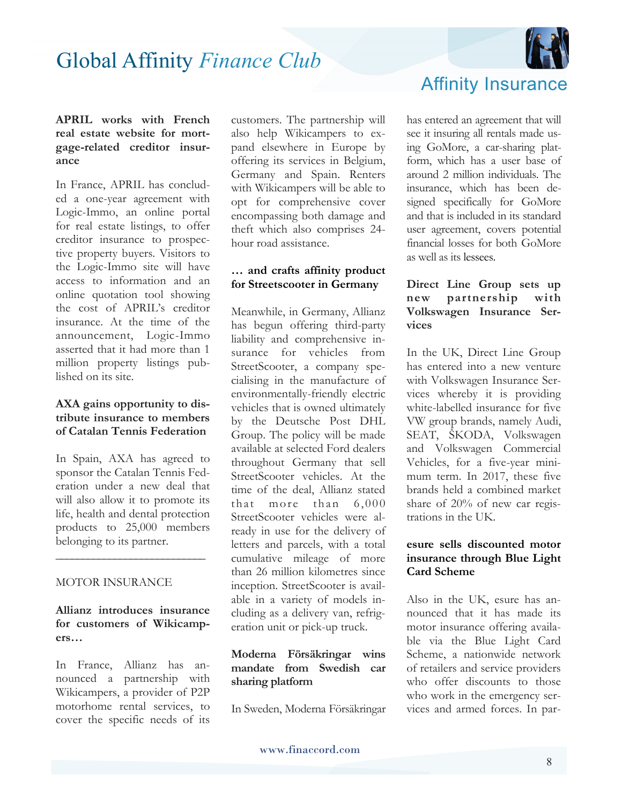

#### **APRIL works with French real estate website for mortgage-related creditor insurance**

In France, APRIL has concluded a one-year agreement with Logic-Immo, an online portal for real estate listings, to offer creditor insurance to prospective property buyers. Visitors to the Logic-Immo site will have access to information and an online quotation tool showing the cost of APRIL's creditor insurance. At the time of the announcement, Logic-Immo asserted that it had more than 1 million property listings published on its site.

#### **AXA gains opportunity to distribute insurance to members of Catalan Tennis Federation**

In Spain, AXA has agreed to sponsor the Catalan Tennis Federation under a new deal that will also allow it to promote its life, health and dental protection products to 25,000 members belonging to its partner.

**\_\_\_\_\_\_\_\_\_\_\_\_\_\_\_\_\_\_\_\_\_\_\_\_\_\_\_\_**

#### MOTOR INSURANCE

**Allianz introduces insurance for customers of Wikicampers…**

In France, Allianz has announced a partnership with Wikicampers, a provider of P2P motorhome rental services, to cover the specific needs of its

customers. The partnership will also help Wikicampers to expand elsewhere in Europe by offering its services in Belgium, Germany and Spain. Renters with Wikicampers will be able to opt for comprehensive cover encompassing both damage and theft which also comprises 24 hour road assistance.

#### **… and crafts affinity product for Streetscooter in Germany**

Meanwhile, in Germany, Allianz has begun offering third-party liability and comprehensive insurance for vehicles from StreetScooter, a company specialising in the manufacture of environmentally-friendly electric vehicles that is owned ultimately by the Deutsche Post DHL Group. The policy will be made available at selected Ford dealers throughout Germany that sell StreetScooter vehicles. At the time of the deal, Allianz stated that more than 6,000 StreetScooter vehicles were already in use for the delivery of letters and parcels, with a total cumulative mileage of more than 26 million kilometres since inception. StreetScooter is available in a variety of models including as a delivery van, refrigeration unit or pick-up truck.

#### **Moderna Försäkringar wins mandate from Swedish car sharing platform**

In Sweden, Moderna Försäkringar

Affinity Insurance

has entered an agreement that will see it insuring all rentals made using GoMore, a car-sharing platform, which has a user base of around 2 million individuals. The insurance, which has been designed specifically for GoMore and that is included in its standard user agreement, covers potential financial losses for both GoMore as well as its lessees.

#### **Direct Line Group sets up new partnership with Volkswagen Insurance Services**

In the UK, Direct Line Group has entered into a new venture with Volkswagen Insurance Services whereby it is providing white-labelled insurance for five VW group brands, namely Audi, SEAT, ŠKODA, Volkswagen and Volkswagen Commercial Vehicles, for a five-year minimum term. In 2017, these five brands held a combined market share of 20% of new car registrations in the UK.

#### **esure sells discounted motor insurance through Blue Light Card Scheme**

Also in the UK, esure has announced that it has made its motor insurance offering available via the Blue Light Card Scheme, a nationwide network of retailers and service providers who offer discounts to those who work in the emergency services and armed forces. In par-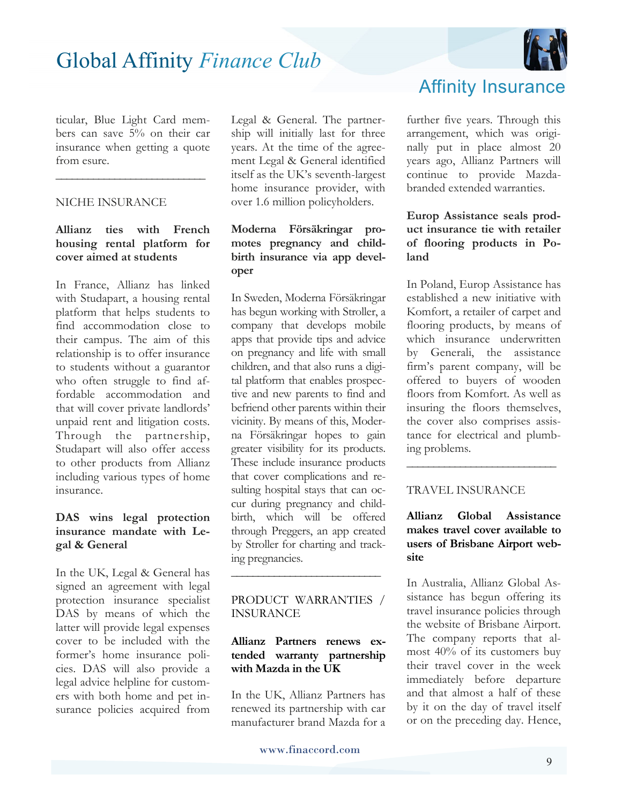

ticular, Blue Light Card members can save 5% on their car insurance when getting a quote from esure.

**\_\_\_\_\_\_\_\_\_\_\_\_\_\_\_\_\_\_\_\_\_\_\_\_\_\_\_\_**

#### NICHE INSURANCE

#### **Allianz ties with French housing rental platform for cover aimed at students**

In France, Allianz has linked with Studapart, a housing rental platform that helps students to find accommodation close to their campus. The aim of this relationship is to offer insurance to students without a guarantor who often struggle to find affordable accommodation and that will cover private landlords' unpaid rent and litigation costs. Through the partnership, Studapart will also offer access to other products from Allianz including various types of home insurance.

#### **DAS wins legal protection insurance mandate with Legal & General**

In the UK, Legal & General has signed an agreement with legal protection insurance specialist DAS by means of which the latter will provide legal expenses cover to be included with the former's home insurance policies. DAS will also provide a legal advice helpline for customers with both home and pet insurance policies acquired from

Legal & General. The partnership will initially last for three years. At the time of the agreement Legal & General identified itself as the UK's seventh-largest home insurance provider, with over 1.6 million policyholders.

#### **Moderna Försäkringar promotes pregnancy and childbirth insurance via app developer**

In Sweden, Moderna Försäkringar has begun working with Stroller, a company that develops mobile apps that provide tips and advice on pregnancy and life with small children, and that also runs a digital platform that enables prospective and new parents to find and befriend other parents within their vicinity. By means of this, Moderna Försäkringar hopes to gain greater visibility for its products. These include insurance products that cover complications and resulting hospital stays that can occur during pregnancy and childbirth, which will be offered through Preggers, an app created by Stroller for charting and tracking pregnancies.

#### PRODUCT WARRANTIES / INSURANCE

**\_\_\_\_\_\_\_\_\_\_\_\_\_\_\_\_\_\_\_\_\_\_\_\_\_\_\_\_**

#### **Allianz Partners renews extended warranty partnership with Mazda in the UK**

In the UK, Allianz Partners has renewed its partnership with car manufacturer brand Mazda for a

### Affinity Insurance

further five years. Through this arrangement, which was originally put in place almost 20 years ago, Allianz Partners will continue to provide Mazdabranded extended warranties.

#### **Europ Assistance seals product insurance tie with retailer of flooring products in Poland**

In Poland, Europ Assistance has established a new initiative with Komfort, a retailer of carpet and flooring products, by means of which insurance underwritten by Generali, the assistance firm's parent company, will be offered to buyers of wooden floors from Komfort. As well as insuring the floors themselves, the cover also comprises assistance for electrical and plumbing problems.

#### TRAVEL INSURANCE

#### **Allianz Global Assistance makes travel cover available to users of Brisbane Airport website**

**\_\_\_\_\_\_\_\_\_\_\_\_\_\_\_\_\_\_\_\_\_\_\_\_\_\_\_\_**

In Australia, Allianz Global Assistance has begun offering its travel insurance policies through the website of Brisbane Airport. The company reports that almost 40% of its customers buy their travel cover in the week immediately before departure and that almost a half of these by it on the day of travel itself or on the preceding day. Hence,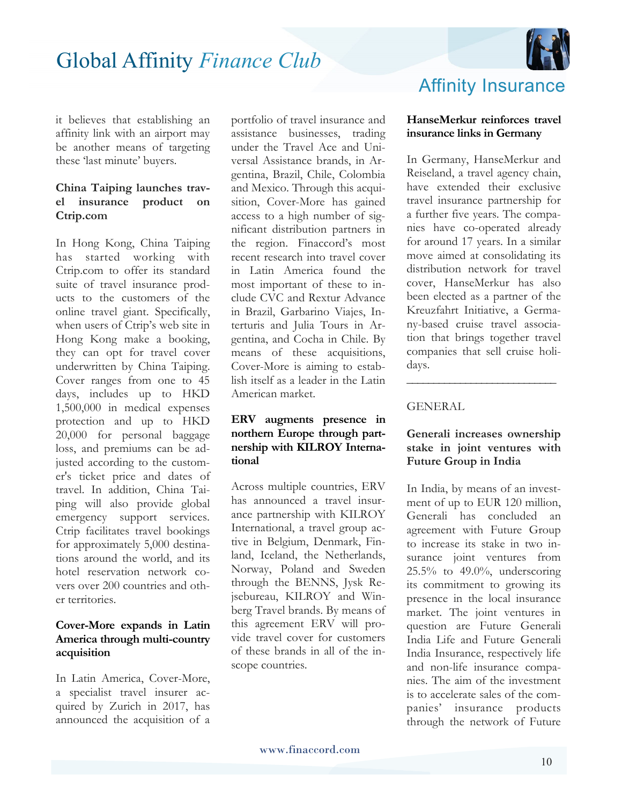

it believes that establishing an affinity link with an airport may be another means of targeting these 'last minute' buyers.

#### **China Taiping launches travel insurance product on Ctrip.com**

In Hong Kong, China Taiping has started working with Ctrip.com to offer its standard suite of travel insurance products to the customers of the online travel giant. Specifically, when users of Ctrip's web site in Hong Kong make a booking, they can opt for travel cover underwritten by China Taiping. Cover ranges from one to 45 days, includes up to HKD 1,500,000 in medical expenses protection and up to HKD 20,000 for personal baggage loss, and premiums can be adjusted according to the customer's ticket price and dates of travel. In addition, China Taiping will also provide global emergency support services. Ctrip facilitates travel bookings for approximately 5,000 destinations around the world, and its hotel reservation network covers over 200 countries and other territories.

#### **Cover-More expands in Latin America through multi-country acquisition**

In Latin America, Cover-More, a specialist travel insurer acquired by Zurich in 2017, has announced the acquisition of a

portfolio of travel insurance and assistance businesses, trading under the Travel Ace and Universal Assistance brands, in Argentina, Brazil, Chile, Colombia and Mexico. Through this acquisition, Cover-More has gained access to a high number of significant distribution partners in the region. Finaccord's most recent research into travel cover in Latin America found the most important of these to include CVC and Rextur Advance in Brazil, Garbarino Viajes, Interturis and Julia Tours in Argentina, and Cocha in Chile. By means of these acquisitions, Cover-More is aiming to establish itself as a leader in the Latin American market.

#### **ERV augments presence in northern Europe through partnership with KILROY International**

Across multiple countries, ERV has announced a travel insurance partnership with KILROY International, a travel group active in Belgium, Denmark, Finland, Iceland, the Netherlands, Norway, Poland and Sweden through the BENNS, Jysk Rejsebureau, KILROY and Winberg Travel brands. By means of this agreement ERV will provide travel cover for customers of these brands in all of the inscope countries.

### Affinity Insurance

#### **HanseMerkur reinforces travel insurance links in Germany**

In Germany, HanseMerkur and Reiseland, a travel agency chain, have extended their exclusive travel insurance partnership for a further five years. The companies have co-operated already for around 17 years. In a similar move aimed at consolidating its distribution network for travel cover, HanseMerkur has also been elected as a partner of the Kreuzfahrt Initiative, a Germany-based cruise travel association that brings together travel companies that sell cruise holidays.

#### **GENERAL**

#### **Generali increases ownership stake in joint ventures with Future Group in India**

**\_\_\_\_\_\_\_\_\_\_\_\_\_\_\_\_\_\_\_\_\_\_\_\_\_\_\_\_**

In India, by means of an investment of up to EUR 120 million, Generali has concluded an agreement with Future Group to increase its stake in two insurance joint ventures from 25.5% to 49.0%, underscoring its commitment to growing its presence in the local insurance market. The joint ventures in question are Future Generali India Life and Future Generali India Insurance, respectively life and non-life insurance companies. The aim of the investment is to accelerate sales of the companies' insurance products through the network of Future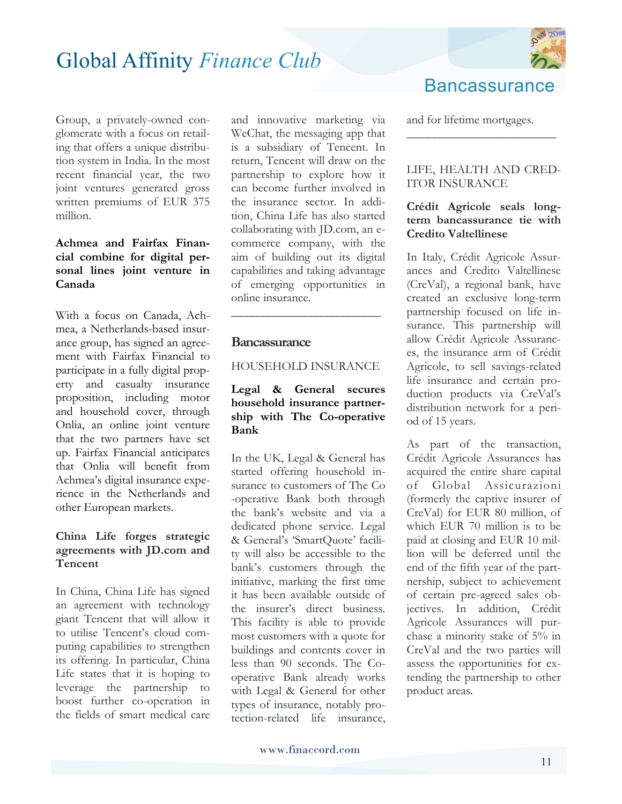

Group, a privately-owned conglomerate with a focus on retailing that offers a unique distribution system in India. In the most recent financial year, the two joint ventures generated gross written premiums of EUR 375 million.

#### **Achmea and Fairfax Financial combine for digital personal lines joint venture in Canada**

With a focus on Canada, Achmea, a Netherlands-based insurance group, has signed an agreement with Fairfax Financial to participate in a fully digital property and casualty insurance proposition, including motor and household cover, through Onlia, an online joint venture that the two partners have set up. Fairfax Financial anticipates that Onlia will benefit from Achmea's digital insurance experience in the Netherlands and other European markets.

#### **China Life forges strategic agreements with JD.com and Tencent**

In China, China Life has signed an agreement with technology giant Tencent that will allow it to utilise Tencent's cloud computing capabilities to strengthen its offering. In particular, China Life states that it is hoping to leverage the partnership to boost further co-operation in the fields of smart medical care and innovative marketing via WeChat, the messaging app that is a subsidiary of Tencent. In return, Tencent will draw on the partnership to explore how it can become further involved in the insurance sector. In addition, China Life has also started collaborating with JD.com, an ecommerce company, with the aim of building out its digital capabilities and taking advantage of emerging opportunities in online insurance.

#### **Bancassurance**

#### HOUSEHOLD INSURANCE

**\_\_\_\_\_\_\_\_\_\_\_\_\_\_\_\_\_\_\_\_\_\_\_\_\_\_\_\_**

#### **Legal & General secures household insurance partnership with The Co-operative Bank**

In the UK, Legal & General has started offering household insurance to customers of The Co -operative Bank both through the bank's website and via a dedicated phone service. Legal & General's 'SmartQuote' facility will also be accessible to the bank's customers through the initiative, marking the first time it has been available outside of the insurer's direct business. This facility is able to provide most customers with a quote for buildings and contents cover in less than 90 seconds. The Cooperative Bank already works with Legal & General for other types of insurance, notably protection-related life insurance,

### **Bancassurance**

and for lifetime mortgages.

#### LIFE, HEALTH AND CRED-ITOR INSURANCE

**\_\_\_\_\_\_\_\_\_\_\_\_\_\_\_\_\_\_\_\_\_\_\_\_\_\_\_\_**

#### **Crédit Agricole seals longterm bancassurance tie with Credito Valtellinese**

In Italy, Crédit Agricole Assurances and Credito Valtellinese (CreVal), a regional bank, have created an exclusive long-term partnership focused on life insurance. This partnership will allow Crédit Agricole Assurances, the insurance arm of Crédit Agricole, to sell savings-related life insurance and certain production products via CreVal's distribution network for a period of 15 years.

As part of the transaction, Crédit Agricole Assurances has acquired the entire share capital of Global Assicurazioni (formerly the captive insurer of CreVal) for EUR 80 million, of which EUR 70 million is to be paid at closing and EUR 10 million will be deferred until the end of the fifth year of the partnership, subject to achievement of certain pre-agreed sales objectives. In addition, Crédit Agricole Assurances will purchase a minority stake of 5% in CreVal and the two parties will assess the opportunities for extending the partnership to other product areas.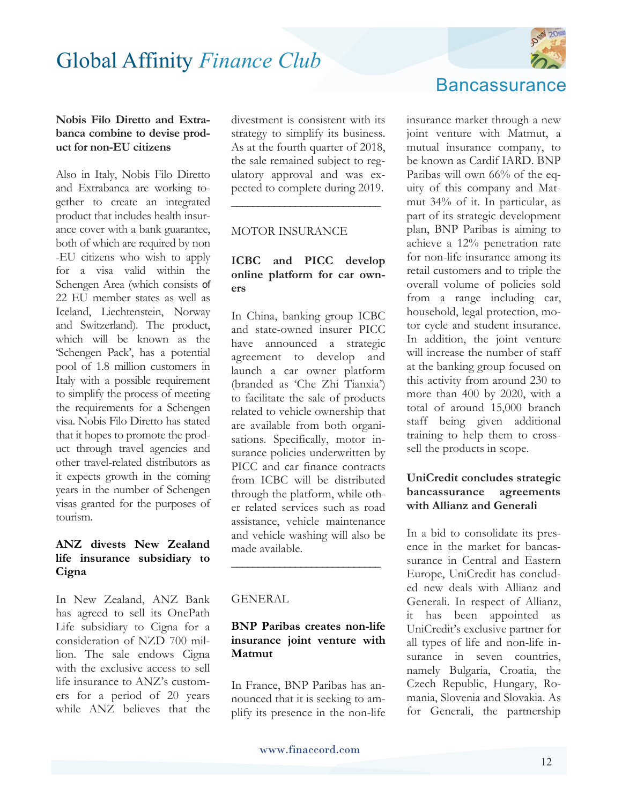

#### **Nobis Filo Diretto and Extrabanca combine to devise product for non-EU citizens**

Also in Italy, Nobis Filo Diretto and Extrabanca are working together to create an integrated product that includes health insurance cover with a bank guarantee, both of which are required by non -EU citizens who wish to apply for a visa valid within the Schengen Area (which consists of 22 EU member states as well as Iceland, Liechtenstein, Norway and Switzerland). The product, which will be known as the 'Schengen Pack', has a potential pool of 1.8 million customers in Italy with a possible requirement to simplify the process of meeting the requirements for a Schengen visa. Nobis Filo Diretto has stated that it hopes to promote the product through travel agencies and other travel-related distributors as it expects growth in the coming years in the number of Schengen visas granted for the purposes of tourism.

#### **ANZ divests New Zealand life insurance subsidiary to Cigna**

In New Zealand, ANZ Bank has agreed to sell its OnePath Life subsidiary to Cigna for a consideration of NZD 700 million. The sale endows Cigna with the exclusive access to sell life insurance to ANZ's customers for a period of 20 years while ANZ believes that the divestment is consistent with its strategy to simplify its business. As at the fourth quarter of 2018, the sale remained subject to regulatory approval and was expected to complete during 2019.

**\_\_\_\_\_\_\_\_\_\_\_\_\_\_\_\_\_\_\_\_\_\_\_\_\_\_\_\_**

#### MOTOR INSURANCE

#### **ICBC and PICC develop online platform for car owners**

In China, banking group ICBC and state-owned insurer PICC have announced a strategic agreement to develop and launch a car owner platform (branded as 'Che Zhi Tianxia') to facilitate the sale of products related to vehicle ownership that are available from both organisations. Specifically, motor insurance policies underwritten by PICC and car finance contracts from ICBC will be distributed through the platform, while other related services such as road assistance, vehicle maintenance and vehicle washing will also be made available.

#### GENERAL

#### **BNP Paribas creates non-life insurance joint venture with Matmut**

**\_\_\_\_\_\_\_\_\_\_\_\_\_\_\_\_\_\_\_\_\_\_\_\_\_\_\_\_**

In France, BNP Paribas has announced that it is seeking to amplify its presence in the non-life

#### **Bancassurance**

insurance market through a new joint venture with Matmut, a mutual insurance company, to be known as Cardif IARD. BNP Paribas will own 66% of the equity of this company and Matmut 34% of it. In particular, as part of its strategic development plan, BNP Paribas is aiming to achieve a 12% penetration rate for non-life insurance among its retail customers and to triple the overall volume of policies sold from a range including car, household, legal protection, motor cycle and student insurance. In addition, the joint venture will increase the number of staff at the banking group focused on this activity from around 230 to more than 400 by 2020, with a total of around 15,000 branch staff being given additional training to help them to crosssell the products in scope.

#### **UniCredit concludes strategic bancassurance agreements with Allianz and Generali**

In a bid to consolidate its presence in the market for bancassurance in Central and Eastern Europe, UniCredit has concluded new deals with Allianz and Generali. In respect of Allianz, it has been appointed as UniCredit's exclusive partner for all types of life and non-life insurance in seven countries. namely Bulgaria, Croatia, the Czech Republic, Hungary, Romania, Slovenia and Slovakia. As for Generali, the partnership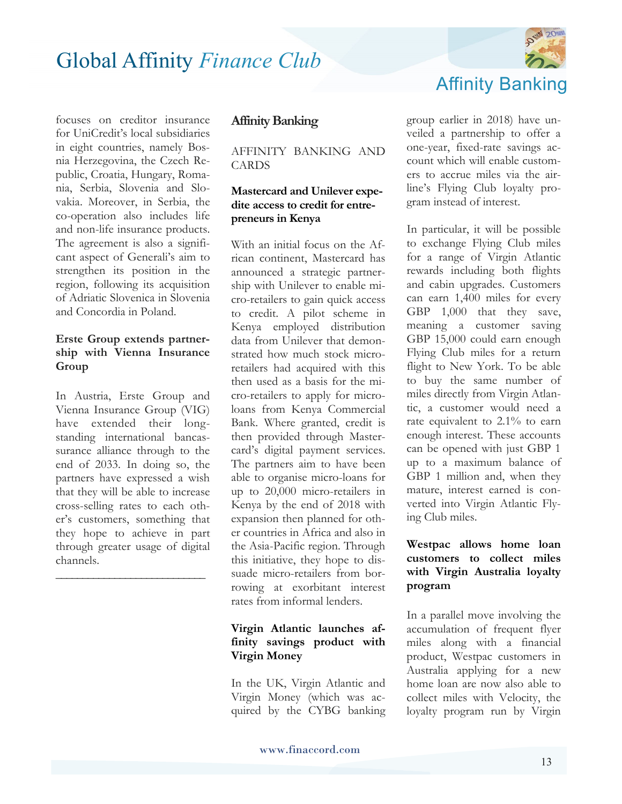

focuses on creditor insurance for UniCredit's local subsidiaries in eight countries, namely Bosnia Herzegovina, the Czech Republic, Croatia, Hungary, Romania, Serbia, Slovenia and Slovakia. Moreover, in Serbia, the co-operation also includes life and non-life insurance products. The agreement is also a significant aspect of Generali's aim to strengthen its position in the region, following its acquisition of Adriatic Slovenica in Slovenia and Concordia in Poland.

#### **Erste Group extends partnership with Vienna Insurance Group**

In Austria, Erste Group and Vienna Insurance Group (VIG) have extended their longstanding international bancassurance alliance through to the end of 2033. In doing so, the partners have expressed a wish that they will be able to increase cross-selling rates to each other's customers, something that they hope to achieve in part through greater usage of digital channels.

**\_\_\_\_\_\_\_\_\_\_\_\_\_\_\_\_\_\_\_\_\_\_\_\_\_\_\_\_** 

#### **Affinity Banking**

AFFINITY BANKING AND CARDS

#### **Mastercard and Unilever expedite access to credit for entrepreneurs in Kenya**

With an initial focus on the African continent, Mastercard has announced a strategic partnership with Unilever to enable micro-retailers to gain quick access to credit. A pilot scheme in Kenya employed distribution data from Unilever that demonstrated how much stock microretailers had acquired with this then used as a basis for the micro-retailers to apply for microloans from Kenya Commercial Bank. Where granted, credit is then provided through Mastercard's digital payment services. The partners aim to have been able to organise micro-loans for up to 20,000 micro-retailers in Kenya by the end of 2018 with expansion then planned for other countries in Africa and also in the Asia-Pacific region. Through this initiative, they hope to dissuade micro-retailers from borrowing at exorbitant interest rates from informal lenders.

#### **Virgin Atlantic launches affinity savings product with Virgin Money**

In the UK, Virgin Atlantic and Virgin Money (which was acquired by the CYBG banking group earlier in 2018) have unveiled a partnership to offer a one-year, fixed-rate savings account which will enable customers to accrue miles via the airline's Flying Club loyalty program instead of interest.

In particular, it will be possible to exchange Flying Club miles for a range of Virgin Atlantic rewards including both flights and cabin upgrades. Customers can earn 1,400 miles for every GBP 1,000 that they save, meaning a customer saving GBP 15,000 could earn enough Flying Club miles for a return flight to New York. To be able to buy the same number of miles directly from Virgin Atlantic, a customer would need a rate equivalent to 2.1% to earn enough interest. These accounts can be opened with just GBP 1 up to a maximum balance of GBP 1 million and, when they mature, interest earned is converted into Virgin Atlantic Flying Club miles.

#### **Westpac allows home loan customers to collect miles with Virgin Australia loyalty program**

In a parallel move involving the accumulation of frequent flyer miles along with a financial product, Westpac customers in Australia applying for a new home loan are now also able to collect miles with Velocity, the loyalty program run by Virgin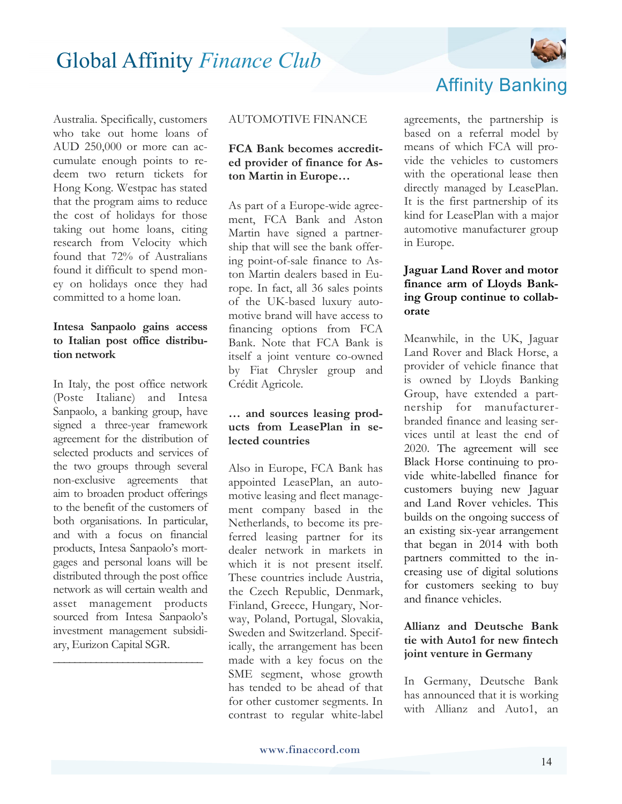

Australia. Specifically, customers who take out home loans of AUD 250,000 or more can accumulate enough points to redeem two return tickets for Hong Kong. Westpac has stated that the program aims to reduce the cost of holidays for those taking out home loans, citing research from Velocity which found that 72% of Australians found it difficult to spend money on holidays once they had committed to a home loan.

#### **Intesa Sanpaolo gains access to Italian post office distribution network**

In Italy, the post office network (Poste Italiane) and Intesa Sanpaolo, a banking group, have signed a three-year framework agreement for the distribution of selected products and services of the two groups through several non-exclusive agreements that aim to broaden product offerings to the benefit of the customers of both organisations. In particular, and with a focus on financial products, Intesa Sanpaolo's mortgages and personal loans will be distributed through the post office network as will certain wealth and asset management products sourced from Intesa Sanpaolo's investment management subsidiary, Eurizon Capital SGR.

**\_\_\_\_\_\_\_\_\_\_\_\_\_\_\_\_\_\_\_\_\_\_\_\_\_\_\_\_**

#### AUTOMOTIVE FINANCE

#### **FCA Bank becomes accredited provider of finance for Aston Martin in Europe…**

As part of a Europe-wide agreement, FCA Bank and Aston Martin have signed a partnership that will see the bank offering point-of-sale finance to Aston Martin dealers based in Europe. In fact, all 36 sales points of the UK-based luxury automotive brand will have access to financing options from FCA Bank. Note that FCA Bank is itself a joint venture co-owned by Fiat Chrysler group and Crédit Agricole.

#### **… and sources leasing products from LeasePlan in selected countries**

Also in Europe, FCA Bank has appointed LeasePlan, an automotive leasing and fleet management company based in the Netherlands, to become its preferred leasing partner for its dealer network in markets in which it is not present itself. These countries include Austria, the Czech Republic, Denmark, Finland, Greece, Hungary, Norway, Poland, Portugal, Slovakia, Sweden and Switzerland. Specifically, the arrangement has been made with a key focus on the SME segment, whose growth has tended to be ahead of that for other customer segments. In contrast to regular white-label



agreements, the partnership is based on a referral model by means of which FCA will provide the vehicles to customers with the operational lease then directly managed by LeasePlan. It is the first partnership of its kind for LeasePlan with a major automotive manufacturer group in Europe.

#### **Jaguar Land Rover and motor finance arm of Lloyds Banking Group continue to collaborate**

Meanwhile, in the UK, Jaguar Land Rover and Black Horse, a provider of vehicle finance that is owned by Lloyds Banking Group, have extended a partnership for manufacturerbranded finance and leasing services until at least the end of 2020. The agreement will see Black Horse continuing to provide white-labelled finance for customers buying new Jaguar and Land Rover vehicles. This builds on the ongoing success of an existing six-year arrangement that began in 2014 with both partners committed to the increasing use of digital solutions for customers seeking to buy and finance vehicles.

#### **Allianz and Deutsche Bank tie with Auto1 for new fintech joint venture in Germany**

In Germany, Deutsche Bank has announced that it is working with Allianz and Auto1, an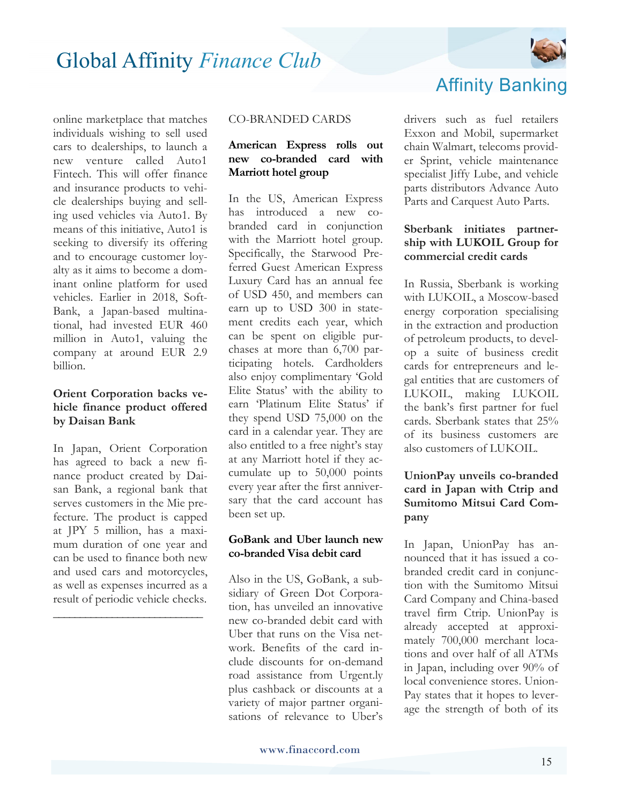

online marketplace that matches individuals wishing to sell used cars to dealerships, to launch a new venture called Auto1 Fintech. This will offer finance and insurance products to vehicle dealerships buying and selling used vehicles via Auto1. By means of this initiative, Auto1 is seeking to diversify its offering and to encourage customer loyalty as it aims to become a dominant online platform for used vehicles. Earlier in 2018, Soft-Bank, a Japan-based multinational, had invested EUR 460 million in Auto1, valuing the company at around EUR 2.9 billion.

#### **Orient Corporation backs vehicle finance product offered by Daisan Bank**

In Japan, Orient Corporation has agreed to back a new finance product created by Daisan Bank, a regional bank that serves customers in the Mie prefecture. The product is capped at JPY 5 million, has a maximum duration of one year and can be used to finance both new and used cars and motorcycles, as well as expenses incurred as a result of periodic vehicle checks.

**\_\_\_\_\_\_\_\_\_\_\_\_\_\_\_\_\_\_\_\_\_\_\_\_\_\_\_\_**

#### CO-BRANDED CARDS

#### **American Express rolls out new co-branded card with Marriott hotel group**

In the US, American Express has introduced a new cobranded card in conjunction with the Marriott hotel group. Specifically, the Starwood Preferred Guest American Express Luxury Card has an annual fee of USD 450, and members can earn up to USD 300 in statement credits each year, which can be spent on eligible purchases at more than 6,700 participating hotels. Cardholders also enjoy complimentary 'Gold Elite Status' with the ability to earn 'Platinum Elite Status' if they spend USD 75,000 on the card in a calendar year. They are also entitled to a free night's stay at any Marriott hotel if they accumulate up to 50,000 points every year after the first anniversary that the card account has been set up.

#### **GoBank and Uber launch new co-branded Visa debit card**

Also in the US, GoBank, a subsidiary of Green Dot Corporation, has unveiled an innovative new co-branded debit card with Uber that runs on the Visa network. Benefits of the card include discounts for on-demand road assistance from Urgent.ly plus cashback or discounts at a variety of major partner organisations of relevance to Uber's



Exxon and Mobil, supermarket chain Walmart, telecoms provider Sprint, vehicle maintenance specialist Jiffy Lube, and vehicle parts distributors Advance Auto Parts and Carquest Auto Parts.

#### **Sberbank initiates partnership with LUKOIL Group for commercial credit cards**

In Russia, Sberbank is working with LUKOIL, a Moscow-based energy corporation specialising in the extraction and production of petroleum products, to develop a suite of business credit cards for entrepreneurs and legal entities that are customers of LUKOIL, making LUKOIL the bank's first partner for fuel cards. Sberbank states that 25% of its business customers are also customers of LUKOIL.

#### **UnionPay unveils co-branded card in Japan with Ctrip and Sumitomo Mitsui Card Company**

In Japan, UnionPay has announced that it has issued a cobranded credit card in conjunction with the Sumitomo Mitsui Card Company and China-based travel firm Ctrip. UnionPay is already accepted at approximately 700,000 merchant locations and over half of all ATMs in Japan, including over 90% of local convenience stores. Union-Pay states that it hopes to leverage the strength of both of its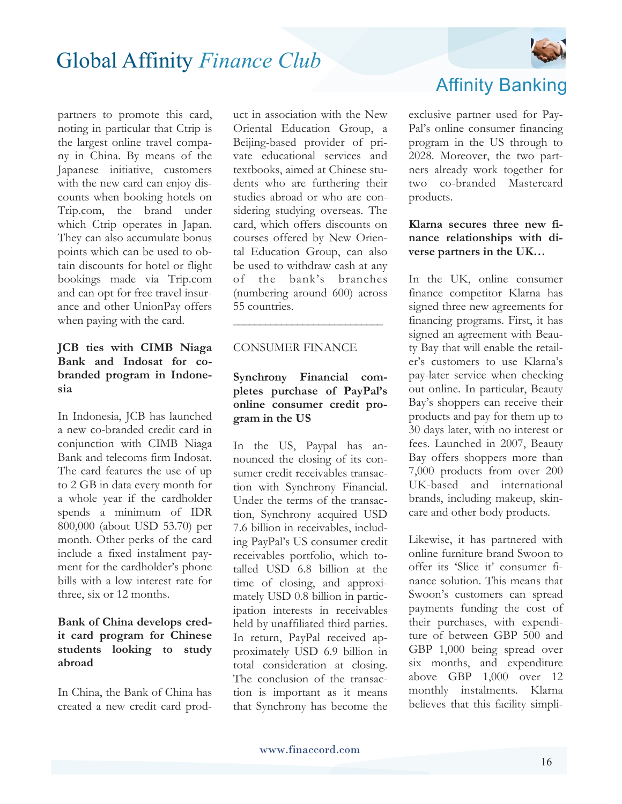

partners to promote this card, noting in particular that Ctrip is the largest online travel company in China. By means of the Japanese initiative, customers with the new card can enjoy discounts when booking hotels on Trip.com, the brand under which Ctrip operates in Japan. They can also accumulate bonus points which can be used to obtain discounts for hotel or flight bookings made via Trip.com and can opt for free travel insurance and other UnionPay offers when paying with the card.

#### **JCB ties with CIMB Niaga Bank and Indosat for cobranded program in Indonesia**

In Indonesia, JCB has launched a new co-branded credit card in conjunction with CIMB Niaga Bank and telecoms firm Indosat. The card features the use of up to 2 GB in data every month for a whole year if the cardholder spends a minimum of IDR 800,000 (about USD 53.70) per month. Other perks of the card include a fixed instalment payment for the cardholder's phone bills with a low interest rate for three, six or 12 months.

#### **Bank of China develops credit card program for Chinese students looking to study abroad**

In China, the Bank of China has created a new credit card prod-

uct in association with the New Oriental Education Group, a Beijing-based provider of private educational services and textbooks, aimed at Chinese students who are furthering their studies abroad or who are considering studying overseas. The card, which offers discounts on courses offered by New Oriental Education Group, can also be used to withdraw cash at any of the bank's branches (numbering around 600) across 55 countries. **\_\_\_\_\_\_\_\_\_\_\_\_\_\_\_\_\_\_\_\_\_\_\_\_\_\_\_\_**

#### CONSUMER FINANCE

#### **Synchrony Financial completes purchase of PayPal's online consumer credit program in the US**

In the US, Paypal has announced the closing of its consumer credit receivables transaction with Synchrony Financial. Under the terms of the transaction, Synchrony acquired USD 7.6 billion in receivables, including PayPal's US consumer credit receivables portfolio, which totalled USD 6.8 billion at the time of closing, and approximately USD 0.8 billion in participation interests in receivables held by unaffiliated third parties. In return, PayPal received approximately USD 6.9 billion in total consideration at closing. The conclusion of the transaction is important as it means that Synchrony has become the

### Affinity Banking

exclusive partner used for Pay-Pal's online consumer financing program in the US through to 2028. Moreover, the two partners already work together for two co-branded Mastercard products.

#### **Klarna secures three new finance relationships with diverse partners in the UK…**

In the UK, online consumer finance competitor Klarna has signed three new agreements for financing programs. First, it has signed an agreement with Beauty Bay that will enable the retailer's customers to use Klarna's pay-later service when checking out online. In particular, Beauty Bay's shoppers can receive their products and pay for them up to 30 days later, with no interest or fees. Launched in 2007, Beauty Bay offers shoppers more than 7,000 products from over 200 UK-based and international brands, including makeup, skincare and other body products.

Likewise, it has partnered with online furniture brand Swoon to offer its 'Slice it' consumer finance solution. This means that Swoon's customers can spread payments funding the cost of their purchases, with expenditure of between GBP 500 and GBP 1,000 being spread over six months, and expenditure above GBP 1,000 over 12 monthly instalments. Klarna believes that this facility simpli-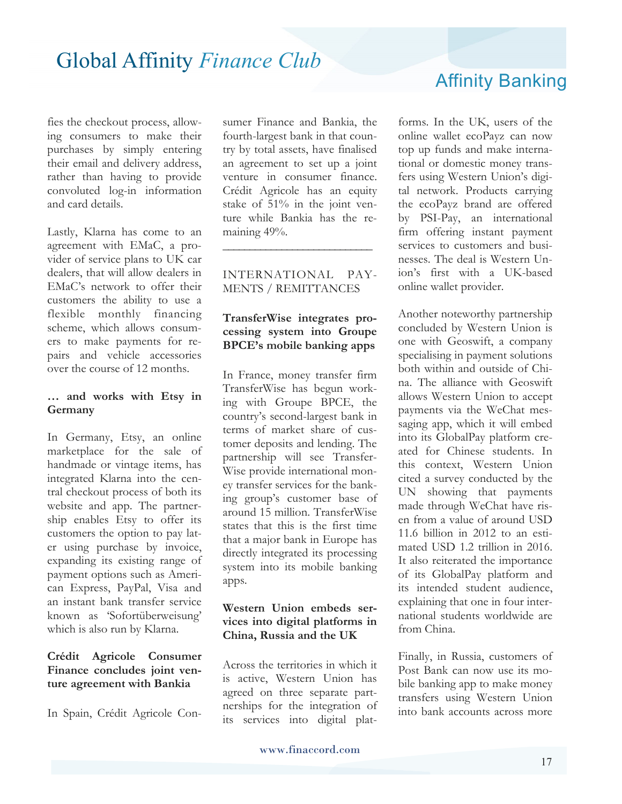fies the checkout process, allowing consumers to make their purchases by simply entering their email and delivery address, rather than having to provide convoluted log-in information and card details.

Lastly, Klarna has come to an agreement with EMaC, a provider of service plans to UK car dealers, that will allow dealers in EMaC's network to offer their customers the ability to use a flexible monthly financing scheme, which allows consumers to make payments for repairs and vehicle accessories over the course of 12 months.

#### **… and works with Etsy in Germany**

In Germany, Etsy, an online marketplace for the sale of handmade or vintage items, has integrated Klarna into the central checkout process of both its website and app. The partnership enables Etsy to offer its customers the option to pay later using purchase by invoice, expanding its existing range of payment options such as American Express, PayPal, Visa and an instant bank transfer service known as 'Sofortüberweisung' which is also run by Klarna.

#### **Crédit Agricole Consumer Finance concludes joint venture agreement with Bankia**

In Spain, Crédit Agricole Con-

sumer Finance and Bankia, the fourth-largest bank in that country by total assets, have finalised an agreement to set up a joint venture in consumer finance. Crédit Agricole has an equity stake of 51% in the joint venture while Bankia has the remaining 49%.

#### INTERNATIONAL PAY-MENTS / REMITTANCES

**\_\_\_\_\_\_\_\_\_\_\_\_\_\_\_\_\_\_\_\_\_\_\_\_\_\_\_\_**

#### **TransferWise integrates processing system into Groupe BPCE's mobile banking apps**

In France, money transfer firm TransferWise has begun working with Groupe BPCE, the country's second-largest bank in terms of market share of customer deposits and lending. The partnership will see Transfer-Wise provide international money transfer services for the banking group's customer base of around 15 million. TransferWise states that this is the first time that a major bank in Europe has directly integrated its processing system into its mobile banking apps.

#### **Western Union embeds services into digital platforms in China, Russia and the UK**

Across the territories in which it is active, Western Union has agreed on three separate partnerships for the integration of its services into digital plat-

### Affinity Banking

forms. In the UK, users of the online wallet ecoPayz can now top up funds and make international or domestic money transfers using Western Union's digital network. Products carrying the ecoPayz brand are offered by PSI-Pay, an international firm offering instant payment services to customers and businesses. The deal is Western Union's first with a UK-based online wallet provider.

Another noteworthy partnership concluded by Western Union is one with Geoswift, a company specialising in payment solutions both within and outside of China. The alliance with Geoswift allows Western Union to accept payments via the WeChat messaging app, which it will embed into its GlobalPay platform created for Chinese students. In this context, Western Union cited a survey conducted by the UN showing that payments made through WeChat have risen from a value of around USD 11.6 billion in 2012 to an estimated USD 1.2 trillion in 2016. It also reiterated the importance of its GlobalPay platform and its intended student audience, explaining that one in four international students worldwide are from China.

Finally, in Russia, customers of Post Bank can now use its mobile banking app to make money transfers using Western Union into bank accounts across more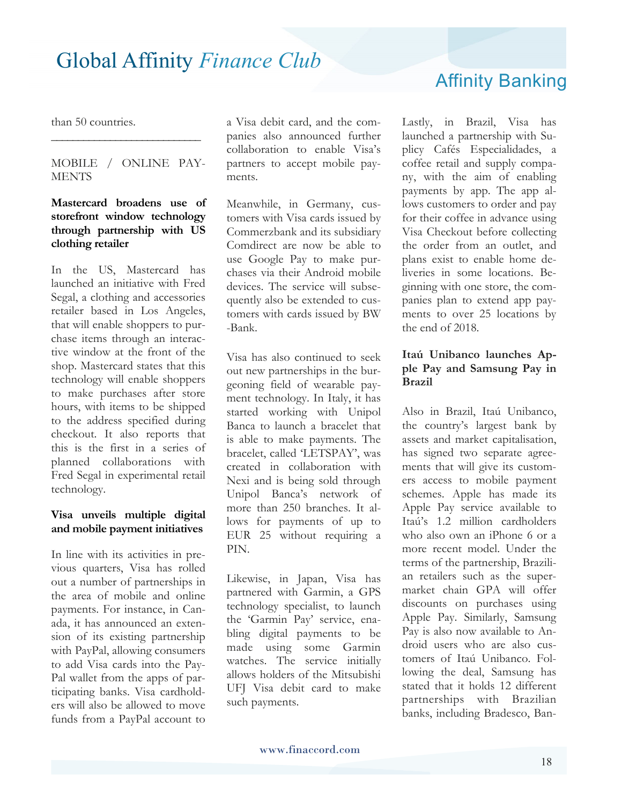Affinity Banking

than 50 countries.

MOBILE / ONLINE PAY-**MENTS** 

**\_\_\_\_\_\_\_\_\_\_\_\_\_\_\_\_\_\_\_\_\_\_\_\_\_\_\_\_**

#### **Mastercard broadens use of storefront window technology through partnership with US clothing retailer**

In the US, Mastercard has launched an initiative with Fred Segal, a clothing and accessories retailer based in Los Angeles, that will enable shoppers to purchase items through an interactive window at the front of the shop. Mastercard states that this technology will enable shoppers to make purchases after store hours, with items to be shipped to the address specified during checkout. It also reports that this is the first in a series of planned collaborations with Fred Segal in experimental retail technology.

#### **Visa unveils multiple digital and mobile payment initiatives**

In line with its activities in previous quarters, Visa has rolled out a number of partnerships in the area of mobile and online payments. For instance, in Canada, it has announced an extension of its existing partnership with PayPal, allowing consumers to add Visa cards into the Pay-Pal wallet from the apps of participating banks. Visa cardholders will also be allowed to move funds from a PayPal account to a Visa debit card, and the companies also announced further collaboration to enable Visa's partners to accept mobile payments.

Meanwhile, in Germany, customers with Visa cards issued by Commerzbank and its subsidiary Comdirect are now be able to use Google Pay to make purchases via their Android mobile devices. The service will subsequently also be extended to customers with cards issued by BW -Bank.

Visa has also continued to seek out new partnerships in the burgeoning field of wearable payment technology. In Italy, it has started working with Unipol Banca to launch a bracelet that is able to make payments. The bracelet, called 'LETSPAY', was created in collaboration with Nexi and is being sold through Unipol Banca's network of more than 250 branches. It allows for payments of up to EUR 25 without requiring a PIN.

Likewise, in Japan, Visa has partnered with Garmin, a GPS technology specialist, to launch the 'Garmin Pay' service, enabling digital payments to be made using some Garmin watches. The service initially allows holders of the Mitsubishi UFJ Visa debit card to make such payments.

Lastly, in Brazil, Visa has launched a partnership with Suplicy Cafés Especialidades, a coffee retail and supply company, with the aim of enabling payments by app. The app allows customers to order and pay for their coffee in advance using Visa Checkout before collecting the order from an outlet, and plans exist to enable home deliveries in some locations. Beginning with one store, the companies plan to extend app payments to over 25 locations by the end of 2018.

#### **Itaú Unibanco launches Apple Pay and Samsung Pay in Brazil**

Also in Brazil, Itaú Unibanco, the country's largest bank by assets and market capitalisation, has signed two separate agreements that will give its customers access to mobile payment schemes. Apple has made its Apple Pay service available to Itaú's 1.2 million cardholders who also own an iPhone 6 or a more recent model. Under the terms of the partnership, Brazilian retailers such as the supermarket chain GPA will offer discounts on purchases using Apple Pay. Similarly, Samsung Pay is also now available to Android users who are also customers of Itaú Unibanco. Following the deal, Samsung has stated that it holds 12 different partnerships with Brazilian banks, including Bradesco, Ban-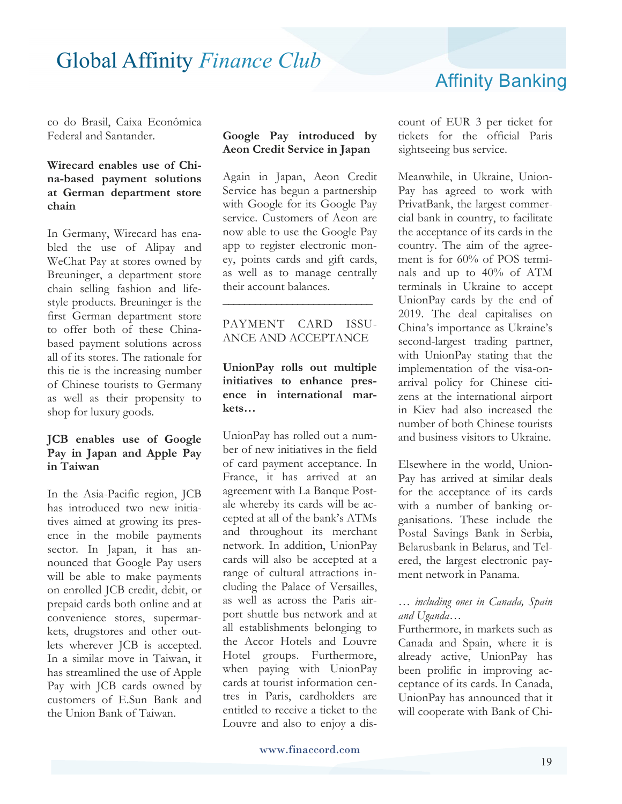### Affinity Banking

co do Brasil, Caixa Econômica Federal and Santander.

#### **Wirecard enables use of China-based payment solutions at German department store chain**

In Germany, Wirecard has enabled the use of Alipay and WeChat Pay at stores owned by Breuninger, a department store chain selling fashion and lifestyle products. Breuninger is the first German department store to offer both of these Chinabased payment solutions across all of its stores. The rationale for this tie is the increasing number of Chinese tourists to Germany as well as their propensity to shop for luxury goods.

#### **JCB enables use of Google Pay in Japan and Apple Pay in Taiwan**

In the Asia-Pacific region, JCB has introduced two new initiatives aimed at growing its presence in the mobile payments sector. In Japan, it has announced that Google Pay users will be able to make payments on enrolled JCB credit, debit, or prepaid cards both online and at convenience stores, supermarkets, drugstores and other outlets wherever JCB is accepted. In a similar move in Taiwan, it has streamlined the use of Apple Pay with JCB cards owned by customers of E.Sun Bank and the Union Bank of Taiwan.

#### **Google Pay introduced by Aeon Credit Service in Japan**

Again in Japan, Aeon Credit Service has begun a partnership with Google for its Google Pay service. Customers of Aeon are now able to use the Google Pay app to register electronic money, points cards and gift cards, as well as to manage centrally their account balances.

#### PAYMENT CARD ISSU-ANCE AND ACCEPTANCE

**\_\_\_\_\_\_\_\_\_\_\_\_\_\_\_\_\_\_\_\_\_\_\_\_\_\_\_\_**

#### **UnionPay rolls out multiple initiatives to enhance presence in international markets…**

UnionPay has rolled out a number of new initiatives in the field of card payment acceptance. In France, it has arrived at an agreement with La Banque Postale whereby its cards will be accepted at all of the bank's ATMs and throughout its merchant network. In addition, UnionPay cards will also be accepted at a range of cultural attractions including the Palace of Versailles, as well as across the Paris airport shuttle bus network and at all establishments belonging to the Accor Hotels and Louvre Hotel groups. Furthermore, when paying with UnionPay cards at tourist information centres in Paris, cardholders are entitled to receive a ticket to the Louvre and also to enjoy a discount of EUR 3 per ticket for tickets for the official Paris sightseeing bus service.

Meanwhile, in Ukraine, Union-Pay has agreed to work with PrivatBank, the largest commercial bank in country, to facilitate the acceptance of its cards in the country. The aim of the agreement is for 60% of POS terminals and up to 40% of ATM terminals in Ukraine to accept UnionPay cards by the end of 2019. The deal capitalises on China's importance as Ukraine's second-largest trading partner, with UnionPay stating that the implementation of the visa-onarrival policy for Chinese citizens at the international airport in Kiev had also increased the number of both Chinese tourists and business visitors to Ukraine.

Elsewhere in the world, Union-Pay has arrived at similar deals for the acceptance of its cards with a number of banking organisations. These include the Postal Savings Bank in Serbia, Belarusbank in Belarus, and Telered, the largest electronic payment network in Panama.

#### *… including ones in Canada, Spain and Uganda…*

Furthermore, in markets such as Canada and Spain, where it is already active, UnionPay has been prolific in improving acceptance of its cards. In Canada, UnionPay has announced that it will cooperate with Bank of Chi-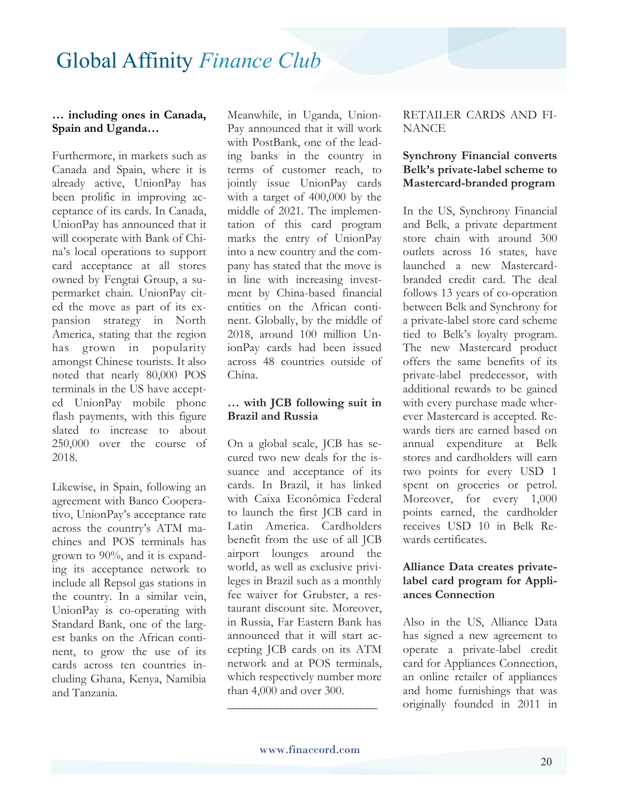#### **… including ones in Canada, Spain and Uganda…**

Furthermore, in markets such as Canada and Spain, where it is already active, UnionPay has been prolific in improving acceptance of its cards. In Canada, UnionPay has announced that it will cooperate with Bank of China's local operations to support card acceptance at all stores owned by Fengtai Group, a supermarket chain. UnionPay cited the move as part of its expansion strategy in North America, stating that the region has grown in popularity amongst Chinese tourists. It also noted that nearly 80,000 POS terminals in the US have accepted UnionPay mobile phone flash payments, with this figure slated to increase to about 250,000 over the course of 2018.

Likewise, in Spain, following an agreement with Banco Cooperativo, UnionPay's acceptance rate across the country's ATM machines and POS terminals has grown to 90%, and it is expanding its acceptance network to include all Repsol gas stations in the country. In a similar vein, UnionPay is co-operating with Standard Bank, one of the largest banks on the African continent, to grow the use of its cards across ten countries including Ghana, Kenya, Namibia and Tanzania.

Meanwhile, in Uganda, Union-Pay announced that it will work with PostBank, one of the leading banks in the country in terms of customer reach, to jointly issue UnionPay cards with a target of 400,000 by the middle of 2021. The implementation of this card program marks the entry of UnionPay into a new country and the company has stated that the move is in line with increasing investment by China-based financial entities on the African continent. Globally, by the middle of 2018, around 100 million UnionPay cards had been issued across 48 countries outside of China.

#### **… with JCB following suit in Brazil and Russia**

On a global scale, JCB has secured two new deals for the issuance and acceptance of its cards. In Brazil, it has linked with Caixa Econômica Federal to launch the first JCB card in Latin America. Cardholders benefit from the use of all JCB airport lounges around the world, as well as exclusive privileges in Brazil such as a monthly fee waiver for Grubster, a restaurant discount site. Moreover, in Russia, Far Eastern Bank has announced that it will start accepting JCB cards on its ATM network and at POS terminals, which respectively number more than 4,000 and over 300.

#### RETAILER CARDS AND FI-**NANCE**

#### **Synchrony Financial converts Belk's private-label scheme to Mastercard-branded program**

In the US, Synchrony Financial and Belk, a private department store chain with around 300 outlets across 16 states, have launched a new Mastercardbranded credit card. The deal follows 13 years of co-operation between Belk and Synchrony for a private-label store card scheme tied to Belk's loyalty program. The new Mastercard product offers the same benefits of its private-label predecessor, with additional rewards to be gained with every purchase made wherever Mastercard is accepted. Rewards tiers are earned based on annual expenditure at Belk stores and cardholders will earn two points for every USD 1 spent on groceries or petrol. Moreover, for every 1,000 points earned, the cardholder receives USD 10 in Belk Rewards certificates.

#### **Alliance Data creates privatelabel card program for Appliances Connection**

Also in the US, Alliance Data has signed a new agreement to operate a private-label credit card for Appliances Connection, an online retailer of appliances and home furnishings that was originally founded in 2011 in

**\_\_\_\_\_\_\_\_\_\_\_\_\_\_\_\_\_\_\_\_\_\_\_\_\_\_\_\_**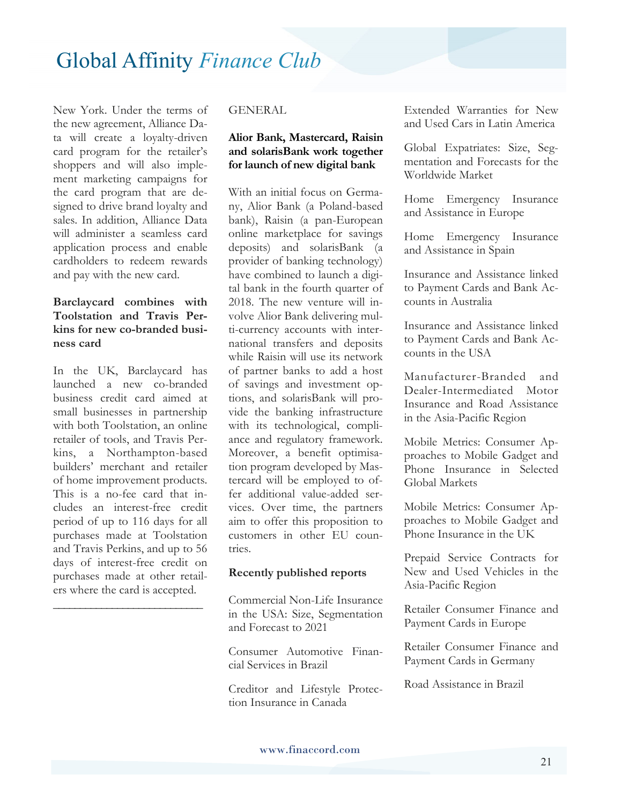New York. Under the terms of the new agreement, Alliance Data will create a loyalty-driven card program for the retailer's shoppers and will also implement marketing campaigns for the card program that are designed to drive brand loyalty and sales. In addition, Alliance Data will administer a seamless card application process and enable cardholders to redeem rewards and pay with the new card.

#### **Barclaycard combines with Toolstation and Travis Perkins for new co-branded business card**

In the UK, Barclaycard has launched a new co-branded business credit card aimed at small businesses in partnership with both Toolstation, an online retailer of tools, and Travis Perkins, a Northampton-based builders' merchant and retailer of home improvement products. This is a no-fee card that includes an interest-free credit period of up to 116 days for all purchases made at Toolstation and Travis Perkins, and up to 56 days of interest-free credit on purchases made at other retailers where the card is accepted.

**\_\_\_\_\_\_\_\_\_\_\_\_\_\_\_\_\_\_\_\_\_\_\_\_\_\_\_\_**

#### GENERAL

#### **Alior Bank, Mastercard, Raisin and solarisBank work together for launch of new digital bank**

With an initial focus on Germany, Alior Bank (a Poland-based bank), Raisin (a pan-European online marketplace for savings deposits) and solarisBank (a provider of banking technology) have combined to launch a digital bank in the fourth quarter of 2018. The new venture will involve Alior Bank delivering multi-currency accounts with international transfers and deposits while Raisin will use its network of partner banks to add a host of savings and investment options, and solarisBank will provide the banking infrastructure with its technological, compliance and regulatory framework. Moreover, a benefit optimisation program developed by Mastercard will be employed to offer additional value-added services. Over time, the partners aim to offer this proposition to customers in other EU countries.

#### **Recently published reports**

Commercial Non-Life Insurance in the USA: Size, Segmentation and Forecast to 2021

Consumer Automotive Financial Services in Brazil

Creditor and Lifestyle Protection Insurance in Canada

Extended Warranties for New and Used Cars in Latin America

Global Expatriates: Size, Segmentation and Forecasts for the Worldwide Market

Home Emergency Insurance and Assistance in Europe

Home Emergency Insurance and Assistance in Spain

Insurance and Assistance linked to Payment Cards and Bank Accounts in Australia

Insurance and Assistance linked to Payment Cards and Bank Accounts in the USA

Manufacturer-Branded and Dealer-Intermediated Motor Insurance and Road Assistance in the Asia-Pacific Region

Mobile Metrics: Consumer Approaches to Mobile Gadget and Phone Insurance in Selected Global Markets

Mobile Metrics: Consumer Approaches to Mobile Gadget and Phone Insurance in the UK

Prepaid Service Contracts for New and Used Vehicles in the Asia-Pacific Region

Retailer Consumer Finance and Payment Cards in Europe

Retailer Consumer Finance and Payment Cards in Germany

Road Assistance in Brazil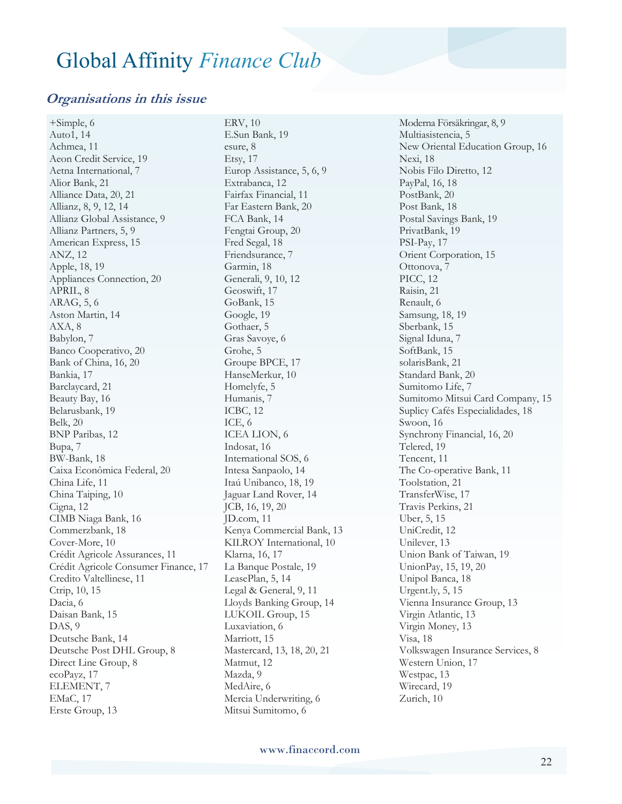#### **Organisations in this issue**

+Simple, 6 Auto1, 14 Achmea, 11 Aeon Credit Service, 19 Aetna International, 7 Alior Bank, 21 Alliance Data, 20, 21 Allianz, 8, 9, 12, 14 Allianz Global Assistance, 9 Allianz Partners, 5, 9 American Express, 15 ANZ, 12 Apple, 18, 19 Appliances Connection, 20 APRIL, 8 ARAG, 5, 6 Aston Martin, 14 AXA, 8 Babylon, 7 Banco Cooperativo, 20 Bank of China, 16, 20 Bankia, 17 Barclaycard, 21 Beauty Bay, 16 Belarusbank, 19 Belk, 20 BNP Paribas, 12 Bupa, 7 BW-Bank, 18 Caixa Econômica Federal, 20 China Life, 11 China Taiping, 10 Cigna, 12 CIMB Niaga Bank, 16 Commerzbank, 18 Cover-More, 10 Crédit Agricole Assurances, 11 Crédit Agricole Consumer Finance, 17 Credito Valtellinese, 11 Ctrip, 10, 15 Dacia, 6 Daisan Bank, 15 DAS, 9 Deutsche Bank, 14 Deutsche Post DHL Group, 8 Direct Line Group, 8 ecoPayz, 17 ELEMENT, 7 EMaC, 17 Erste Group, 13

ERV, 10 E.Sun Bank, 19 esure, 8 Etsy, 17 Europ Assistance, 5, 6, 9 Extrabanca, 12 Fairfax Financial, 11 Far Eastern Bank, 20 FCA Bank, 14 Fengtai Group, 20 Fred Segal, 18 Friendsurance, 7 Garmin, 18 Generali, 9, 10, 12 Geoswift, 17 GoBank, 15 Google, 19 Gothaer, 5 Gras Savoye, 6 Grohe, 5 Groupe BPCE, 17 HanseMerkur, 10 Homelyfe, 5 Humanis, 7 ICBC, 12 ICE, 6 ICEA LION, 6 Indosat, 16 International SOS, 6 Intesa Sanpaolo, 14 Itaú Unibanco, 18, 19 Jaguar Land Rover, 14 JCB, 16, 19, 20 JD.com, 11 Kenya Commercial Bank, 13 KILROY International, 10 Klarna, 16, 17 La Banque Postale, 19 LeasePlan, 5, 14 Legal & General, 9, 11 Lloyds Banking Group, 14 LUKOIL Group, 15 Luxaviation, 6 Marriott, 15 Mastercard, 13, 18, 20, 21 Matmut, 12 Mazda, 9 MedAire, 6 Mercia Underwriting, 6 Mitsui Sumitomo, 6

Moderna Försäkringar, 8, 9 Multiasistencia, 5 New Oriental Education Group, 16 Nexi, 18 Nobis Filo Diretto, 12 PayPal, 16, 18 PostBank, 20 Post Bank, 18 Postal Savings Bank, 19 PrivatBank, 19 PSI-Pay, 17 Orient Corporation, 15 Ottonova, 7 PICC, 12 Raisin, 21 Renault, 6 Samsung, 18, 19 Sberbank, 15 Signal Iduna, 7 SoftBank, 15 solarisBank, 21 Standard Bank, 20 Sumitomo Life, 7 Sumitomo Mitsui Card Company, 15 Suplicy Cafés Especialidades, 18 Swoon, 16 Synchrony Financial, 16, 20 Telered, 19 Tencent, 11 The Co-operative Bank, 11 Toolstation, 21 TransferWise, 17 Travis Perkins, 21 Uber, 5, 15 UniCredit, 12 Unilever, 13 Union Bank of Taiwan, 19 UnionPay, 15, 19, 20 Unipol Banca, 18 Urgent.ly, 5, 15 Vienna Insurance Group, 13 Virgin Atlantic, 13 Virgin Money, 13 Visa, 18 Volkswagen Insurance Services, 8 Western Union, 17 Westpac, 13 Wirecard, 19 Zurich, 10